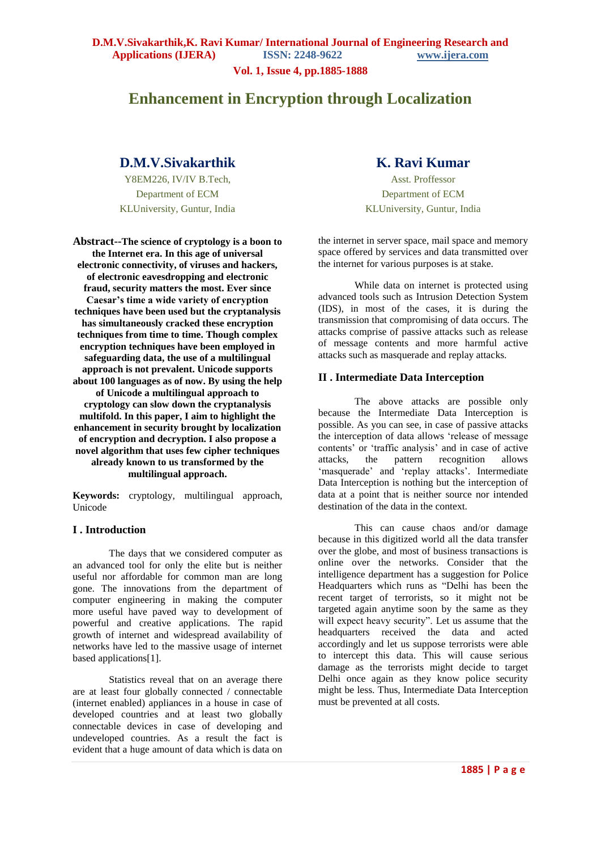**Vol. 1, Issue 4, pp.1885-1888**

# **Enhancement in Encryption through Localization**

## **D.M.V.Sivakarthik**

Y8EM226, IV/IV B.Tech, Department of ECM KLUniversity, Guntur, India

**Abstract--The science of cryptology is a boon to the Internet era. In this age of universal electronic connectivity, of viruses and hackers, of electronic eavesdropping and electronic fraud, security matters the most. Ever since Caesar's time a wide variety of encryption techniques have been used but the cryptanalysis has simultaneously cracked these encryption techniques from time to time. Though complex encryption techniques have been employed in safeguarding data, the use of a multilingual approach is not prevalent. Unicode supports about 100 languages as of now. By using the help of Unicode a multilingual approach to cryptology can slow down the cryptanalysis multifold. In this paper, I aim to highlight the enhancement in security brought by localization of encryption and decryption. I also propose a novel algorithm that uses few cipher techniques already known to us transformed by the multilingual approach.**

**Keywords:** cryptology, multilingual approach, Unicode

### **I . Introduction**

The days that we considered computer as an advanced tool for only the elite but is neither useful nor affordable for common man are long gone. The innovations from the department of computer engineering in making the computer more useful have paved way to development of powerful and creative applications. The rapid growth of internet and widespread availability of networks have led to the massive usage of internet based applications[1].

Statistics reveal that on an average there are at least four globally connected / connectable (internet enabled) appliances in a house in case of developed countries and at least two globally connectable devices in case of developing and undeveloped countries. As a result the fact is evident that a huge amount of data which is data on

## **K. Ravi Kumar**

Asst. Proffessor Department of ECM KLUniversity, Guntur, India

the internet in server space, mail space and memory space offered by services and data transmitted over the internet for various purposes is at stake.

While data on internet is protected using advanced tools such as Intrusion Detection System (IDS), in most of the cases, it is during the transmission that compromising of data occurs. The attacks comprise of passive attacks such as release of message contents and more harmful active attacks such as masquerade and replay attacks.

### **II . Intermediate Data Interception**

The above attacks are possible only because the Intermediate Data Interception is possible. As you can see, in case of passive attacks the interception of data allows "release of message contents' or 'traffic analysis' and in case of active attacks, the pattern recognition allows 'masquerade' and 'replay attacks'. Intermediate Data Interception is nothing but the interception of data at a point that is neither source nor intended destination of the data in the context.

This can cause chaos and/or damage because in this digitized world all the data transfer over the globe, and most of business transactions is online over the networks. Consider that the intelligence department has a suggestion for Police Headquarters which runs as "Delhi has been the recent target of terrorists, so it might not be targeted again anytime soon by the same as they will expect heavy security". Let us assume that the headquarters received the data and acted accordingly and let us suppose terrorists were able to intercept this data. This will cause serious damage as the terrorists might decide to target Delhi once again as they know police security might be less. Thus, Intermediate Data Interception must be prevented at all costs.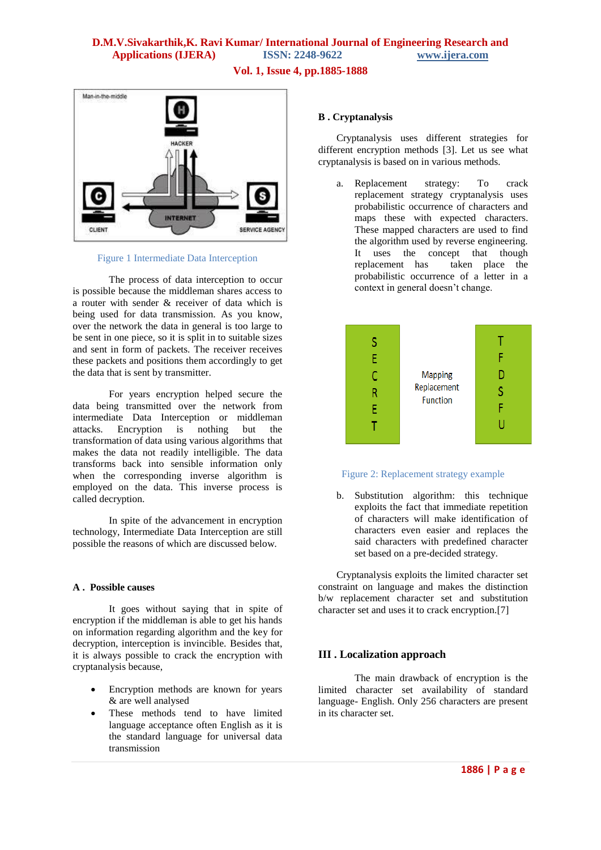## **D.M.V.Sivakarthik,K. Ravi Kumar/ International Journal of Engineering Research and Applications (IJERA) ISSN: 2248-9622 www.ijera.com**

**Vol. 1, Issue 4, pp.1885-1888**



Figure 1 Intermediate Data Interception

The process of data interception to occur is possible because the middleman shares access to a router with sender & receiver of data which is being used for data transmission. As you know, over the network the data in general is too large to be sent in one piece, so it is split in to suitable sizes and sent in form of packets. The receiver receives these packets and positions them accordingly to get the data that is sent by transmitter.

For years encryption helped secure the data being transmitted over the network from intermediate Data Interception or middleman attacks. Encryption is nothing but the transformation of data using various algorithms that makes the data not readily intelligible. The data transforms back into sensible information only when the corresponding inverse algorithm is employed on the data. This inverse process is called decryption.

In spite of the advancement in encryption technology, Intermediate Data Interception are still possible the reasons of which are discussed below.

### **A . Possible causes**

It goes without saying that in spite of encryption if the middleman is able to get his hands on information regarding algorithm and the key for decryption, interception is invincible. Besides that, it is always possible to crack the encryption with cryptanalysis because,

- Encryption methods are known for years & are well analysed
- These methods tend to have limited language acceptance often English as it is the standard language for universal data transmission

### **B . Cryptanalysis**

Cryptanalysis uses different strategies for different encryption methods [3]. Let us see what cryptanalysis is based on in various methods.

a. Replacement strategy: To crack replacement strategy cryptanalysis uses probabilistic occurrence of characters and maps these with expected characters. These mapped characters are used to find the algorithm used by reverse engineering. It uses the concept that though replacement has taken place the probabilistic occurrence of a letter in a context in general doesn"t change.



### Figure 2: Replacement strategy example

b. Substitution algorithm: this technique exploits the fact that immediate repetition of characters will make identification of characters even easier and replaces the said characters with predefined character set based on a pre-decided strategy.

Cryptanalysis exploits the limited character set constraint on language and makes the distinction b/w replacement character set and substitution character set and uses it to crack encryption.[7]

## **III . Localization approach**

The main drawback of encryption is the limited character set availability of standard language- English. Only 256 characters are present in its character set.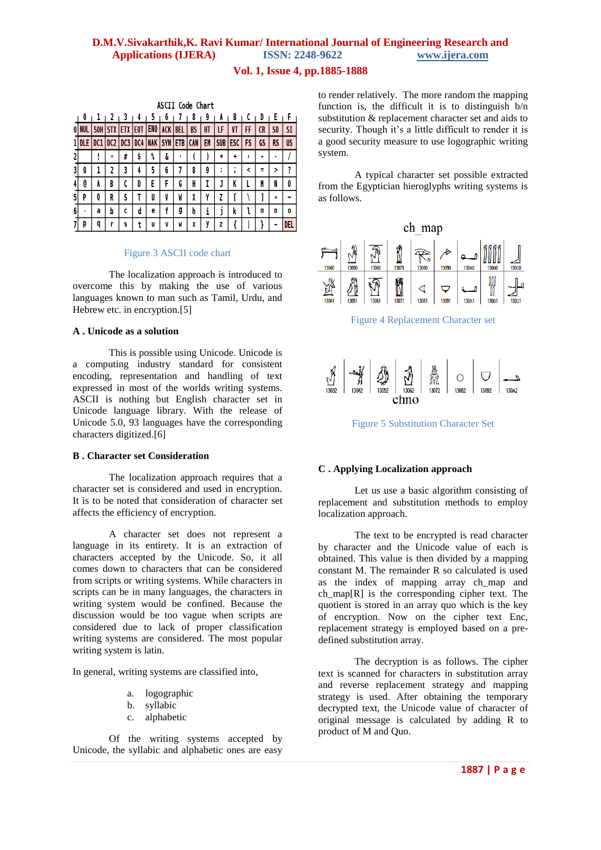## **D.M.V.Sivakarthik,K. Ravi Kumar/ International Journal of Engineering Research and Applications (IJERA) ISSN: 2248-9622 www.ijera.com**

## **Vol. 1, Issue 4, pp.1885-1888**

|   | ASCII Code Chart |                 |                 |     |     |            |            |            |            |    |                     |              |    |    |            |           |
|---|------------------|-----------------|-----------------|-----|-----|------------|------------|------------|------------|----|---------------------|--------------|----|----|------------|-----------|
|   | 0                |                 | 2               | - 3 | ı4  | 5          | 6          |            | 8          | 9  | A                   | B            | C  | D  | Ł          | F         |
|   |                  | S <sub>OH</sub> | <b>STX</b>      | ETX | E0T | ENQ        | <b>ACK</b> | BEL        | <b>BS</b>  | HT | LF                  | ۷T           | FF | CR | SO         | SI        |
|   | DLE              | DC <sub>1</sub> | DC <sub>2</sub> | DC3 | DC4 | <b>NAK</b> | SYN        | <b>ETB</b> | <b>CAN</b> | EM | SUB                 | ESC          | FS | GS | <b>RS</b>  | <b>US</b> |
|   |                  | Ţ               | $\mathbf{u}$    | #   | \$  | ℁          | å          |            |            |    | ∗                   | ÷            | ,  | ٠  | ٠          |           |
| 3 | 0                | 1               | 2               | 3   | 4   | 5          | 6          | 7          | 8          | 9  | ٠<br>$\blacksquare$ | $\mathbf{r}$ | ≺  | Ξ  | >          | ?         |
|   | @                | A               | B               | C   | D   | E          | F          | G          | H          | T  | J                   | K            |    | M  | N          | 0         |
| 5 | P                | Q               | R               | S   | T   | U          | V          | W          | X          | Y  | Z                   |              |    |    | ٨          |           |
| 6 | $\cdot$          | a               | b               | C   | d   | е          | f          | g          | h          | i  | J                   | k            | ı  | m  | n          | 0         |
|   | p                | q               |                 | S   | t   | u          | V          | M          | X          | ٧  | z                   |              |    |    | $\tilde{}$ | DEL       |

#### Figure 3 ASCII code chart

The localization approach is introduced to overcome this by making the use of various languages known to man such as Tamil, Urdu, and Hebrew etc. in encryption.<sup>[5]</sup>

### **A . Unicode as a solution**

This is possible using Unicode. Unicode is a computing industry standard for consistent encoding, representation and handling of text expressed in most of the worlds writing systems. ASCII is nothing but English character set in Unicode language library. With the release of Unicode 5.0, 93 languages have the corresponding characters digitized.[6]

### **B . Character set Consideration**

The localization approach requires that a character set is considered and used in encryption. It is to be noted that consideration of character set affects the efficiency of encryption.

A character set does not represent a language in its entirety. It is an extraction of characters accepted by the Unicode. So, it all comes down to characters that can be considered from scripts or writing systems. While characters in scripts can be in many languages, the characters in writing system would be confined. Because the discussion would be too vague when scripts are considered due to lack of proper classification writing systems are considered. The most popular writing system is latin.

In general, writing systems are classified into,

- a. logographic
- b. syllabic
- c. alphabetic

Of the writing systems accepted by Unicode, the syllabic and alphabetic ones are easy

to render relatively. The more random the mapping function is, the difficult it is to distinguish b/n substitution & replacement character set and aids to security. Though it's a little difficult to render it is a good security measure to use logographic writing system.

A typical character set possible extracted from the Egyptician hieroglyphs writing systems is as follows.





Figure 5 Substitution Character Set

### **C . Applying Localization approach**

Let us use a basic algorithm consisting of replacement and substitution methods to employ localization approach.

The text to be encrypted is read character by character and the Unicode value of each is obtained. This value is then divided by a mapping constant M. The remainder R so calculated is used as the index of mapping array ch\_map and ch map $[R]$  is the corresponding cipher text. The quotient is stored in an array quo which is the key of encryption. Now on the cipher text Enc, replacement strategy is employed based on a predefined substitution array.

The decryption is as follows. The cipher text is scanned for characters in substitution array and reverse replacement strategy and mapping strategy is used. After obtaining the temporary decrypted text, the Unicode value of character of original message is calculated by adding R to product of M and Quo.